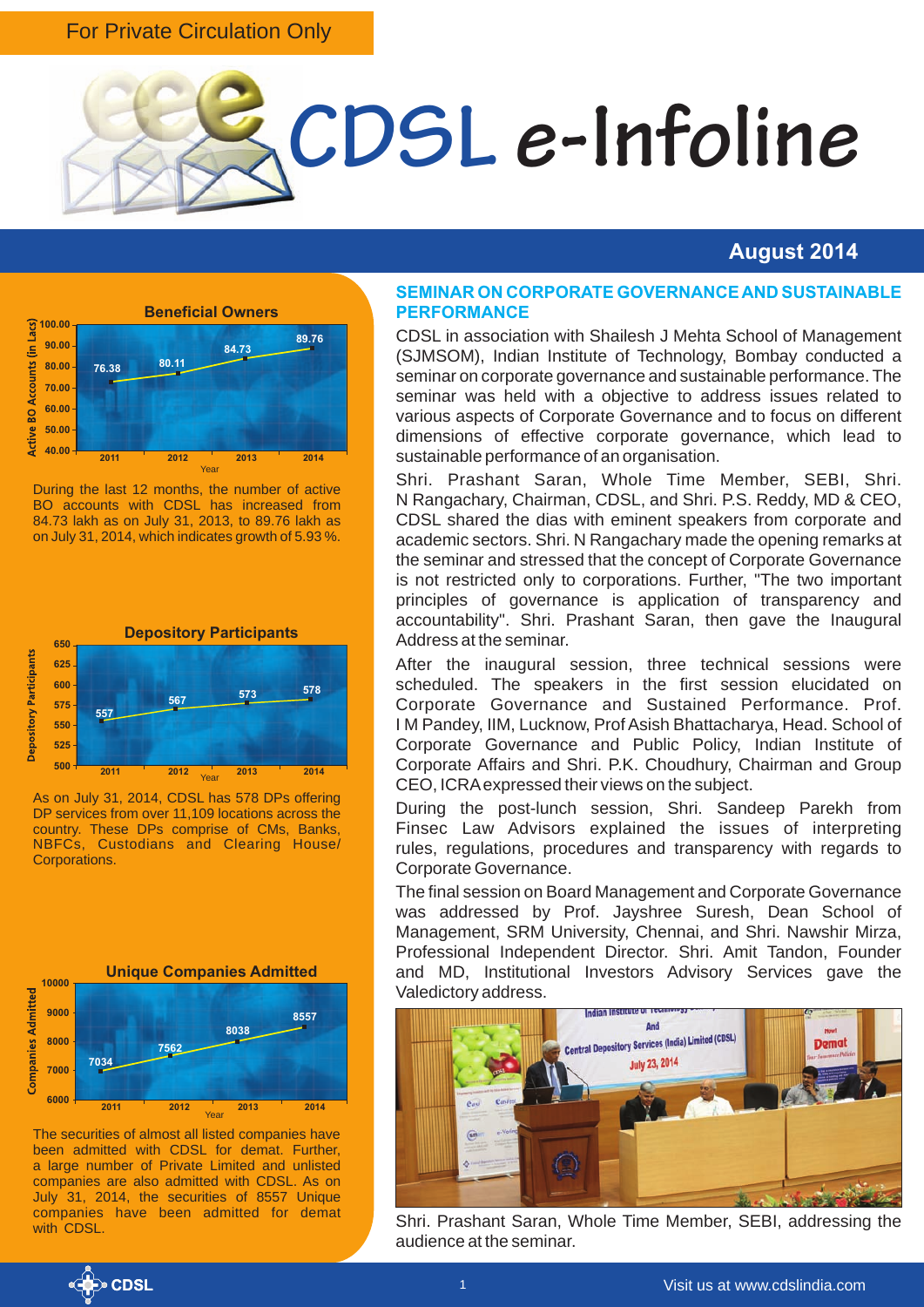#### For Private Circulation Only



#### **August 2014**



During the last 12 months, the number of active BO accounts with CDSL has increased from 84.73 lakh as on July 31, 2013, to 89.76 lakh as on July 31, 2014, which indicates growth of 5.93 %.



As on July 31, 2014, CDSL has 578 DPs offering DP services from over 11,109 locations across the country. These DPs comprise of CMs, Banks, NBFCs, Custodians and Clearing House/ **Corporations** 



The securities of almost all listed companies have been admitted with CDSL for demat. Further, a large number of Private Limited and unlisted companies are also admitted with CDSL. As on July 31, 2014, the securities of 8557 Unique companies have been admitted for demat with CDSL.

#### **SEMINAR ON CORPORATE GOVERNANCE AND SUSTAINABLE PERFORMANCE**

CDSL in association with Shailesh J Mehta School of Management (SJMSOM), Indian Institute of Technology, Bombay conducted a seminar on corporate governance and sustainable performance. The seminar was held with a objective to address issues related to various aspects of Corporate Governance and to focus on different dimensions of effective corporate governance, which lead to sustainable performance of an organisation.

Shri. Prashant Saran, Whole Time Member, SEBI, Shri. N Rangachary, Chairman, CDSL, and Shri. P.S. Reddy, MD & CEO, CDSL shared the dias with eminent speakers from corporate and academic sectors. Shri. N Rangachary made the opening remarks at the seminar and stressed that the concept of Corporate Governance is not restricted only to corporations. Further, "The two important principles of governance is application of transparency and accountability". Shri. Prashant Saran, then gave the Inaugural Address at the seminar.

After the inaugural session, three technical sessions were scheduled. The speakers in the first session elucidated on Corporate Governance and Sustained Performance. Prof. I M Pandey, IIM, Lucknow, Prof Asish Bhattacharya, Head. School of Corporate Governance and Public Policy, Indian Institute of Corporate Affairs and Shri. P.K. Choudhury, Chairman and Group CEO, ICRA expressed their views on the subject.

During the post-lunch session, Shri. Sandeep Parekh from Finsec Law Advisors explained the issues of interpreting rules, regulations, procedures and transparency with regards to Corporate Governance.

The final session on Board Management and Corporate Governance was addressed by Prof. Jayshree Suresh, Dean School of Management, SRM University, Chennai, and Shri. Nawshir Mirza, Professional Independent Director. Shri. Amit Tandon, Founder and MD, Institutional Investors Advisory Services gave the Valedictory address.



Shri. Prashant Saran, Whole Time Member, SEBI, addressing the audience at the seminar.

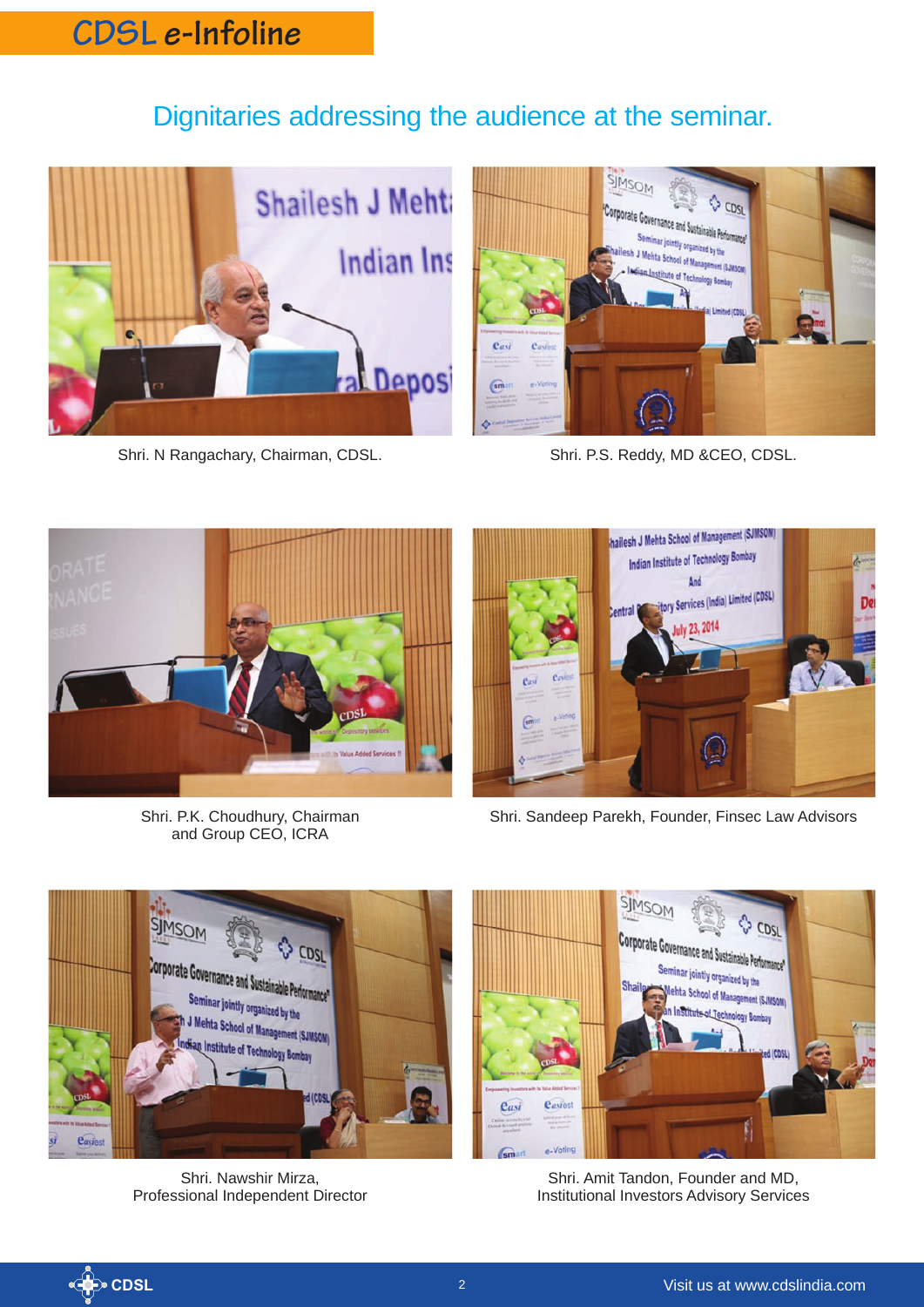### Dignitaries addressing the audience at the seminar.



Shri. N Rangachary, Chairman, CDSL. Shri. P.S. Reddy, MD &CEO, CDSL.





Shri. P.K. Choudhury, Chairman and Group CEO, ICRA



Shri. Sandeep Parekh, Founder, Finsec Law Advisors



Shri. Nawshir Mirza, Professional Independent Director



Shri. Amit Tandon, Founder and MD, Institutional Investors Advisory Services

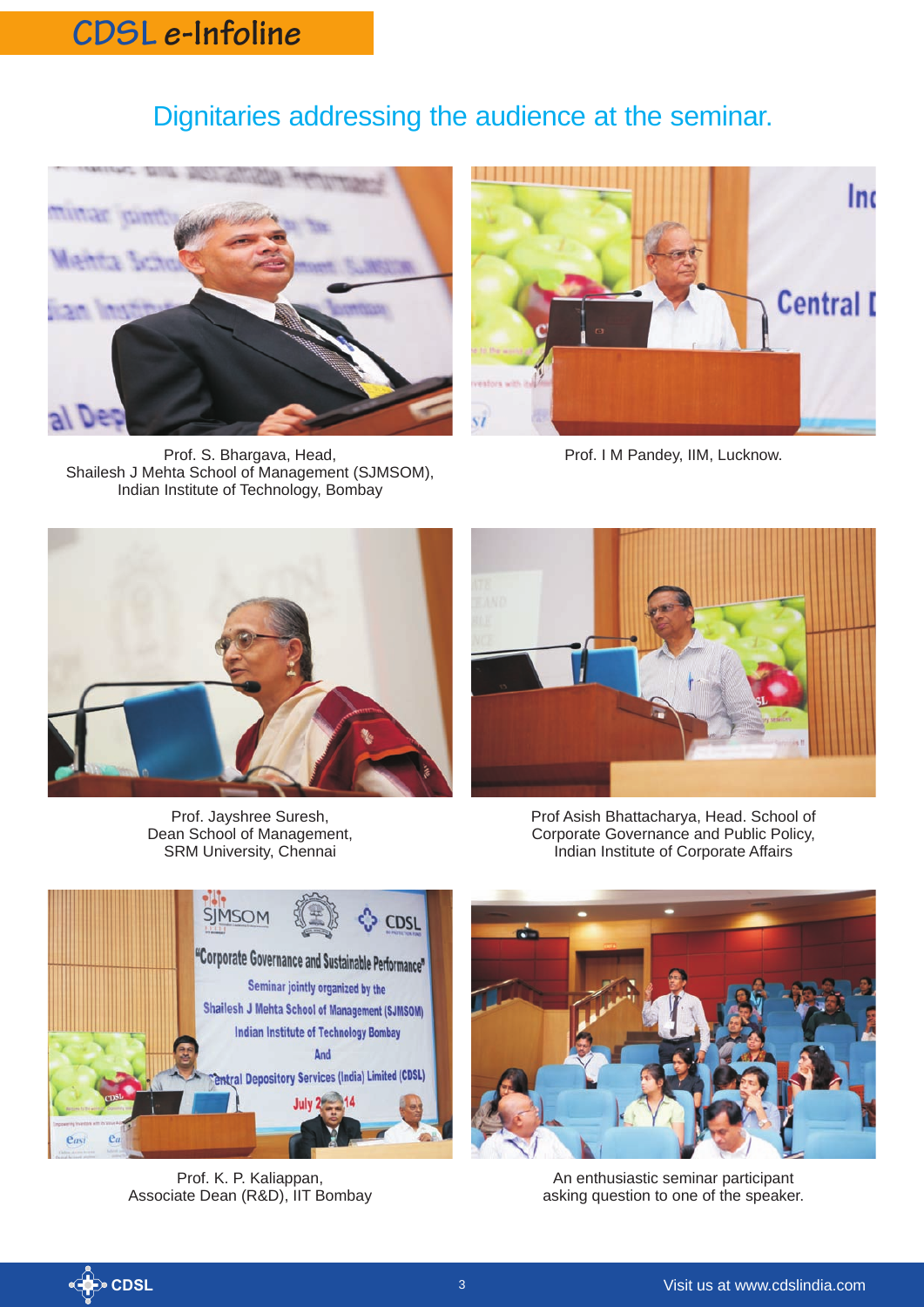### Dignitaries addressing the audience at the seminar.



Prof. S. Bhargava, Head, Shailesh J Mehta School of Management (SJMSOM), Indian Institute of Technology, Bombay



Prof. I M Pandey, IIM, Lucknow.







Prof Asish Bhattacharya, Head. School of Corporate Governance and Public Policy, Indian Institute of Corporate Affairs



Prof. K. P. Kaliappan, Associate Dean (R&D), IIT Bombay



An enthusiastic seminar participant asking question to one of the speaker.

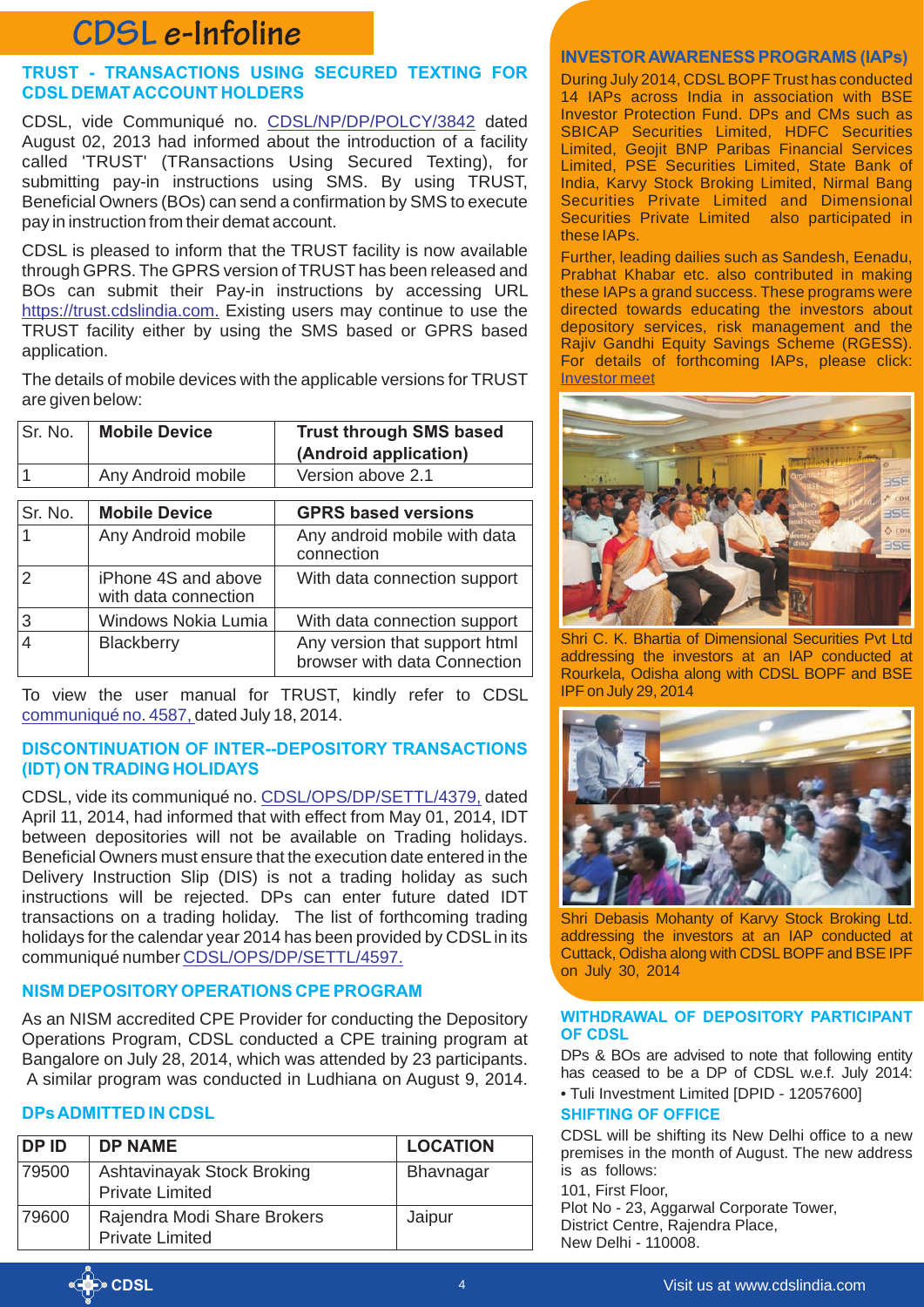#### **TRUST - TRANSACTIONS USING SECURED TEXTING FOR CDSL DEMAT ACCOUNT HOLDERS**

CDSL, vide Communiqué no. CDSL/NP/DP/POLCY/3842 dated August 02, 2013 had informed about the introduction of a facility called 'TRUST' (TRansactions Using Secured Texting), for submitting pay-in instructions using SMS. By using TRUST, Beneficial Owners (BOs) can send a confirmation by SMS to execute pay in instruction from their demat account.

CDSL is pleased to inform that the TRUST facility is now available through GPRS. The GPRS version of TRUST has been released and BOs can submit their Pay-in instructions by accessing URL [https://trust.cdslindia.com.](https://trust.cdslindia.com/) Existing users may continue to use the TRUST facility either by using the SMS based or GPRS based application.

The details of mobile devices with the applicable versions for TRUST are given below:

| Sr. No. | <b>Mobile Device</b>                        | <b>Trust through SMS based</b><br>(Android application)       |
|---------|---------------------------------------------|---------------------------------------------------------------|
|         | Any Android mobile                          | Version above 2.1                                             |
|         |                                             |                                                               |
| Sr. No. | <b>Mobile Device</b>                        | <b>GPRS based versions</b>                                    |
|         | Any Android mobile                          | Any android mobile with data<br>connection                    |
|         | iPhone 4S and above<br>with data connection | With data connection support                                  |
| 3       | Windows Nokia Lumia                         | With data connection support                                  |
|         | <b>Blackberry</b>                           | Any version that support html<br>browser with data Connection |

To view the user manual for TRUST, kindly refer to CDSL <u>communiqué no. 4587,</u> dated July 18, 2014.

#### **DISCONTINUATION OF INTER--DEPOSITORY TRANSACTIONS (IDT) ON TRADING HOLIDAYS**

CDSL,vide its communiqué no. CDSL/OPS/DP/SETTL/4379, dated April 11, 2014, had informed that with effect from May 01, 2014, IDT between depositories will not be available on Trading holidays. Beneficial Owners must ensure that the execution date entered in the Delivery Instruction Slip (DIS) is not a trading holiday as such instructions will be rejected. DPs can enter future dated IDT transactions on a trading holiday. The list of forthcoming trading holidays for the calendar year 2014 has been provided by CDSL in its communiqué number [CDSL/OPS/DP/SETTL/4597.](https://www.cdslindia.com/publications/commprocedure.aspx?eventid=DP4597)

#### **NISM DEPOSITORY OPERATIONS CPE PROGRAM**

As an NISM accredited CPE Provider for conducting the Depository Operations Program, CDSL conducted a CPE training program at Bangalore on July 28, 2014, which was attended by 23 participants. A similar program was conducted in Ludhiana on August 9, 2014.

#### **DPs ADMITTED IN CDSL**

| DP ID | <b>DP NAME</b>                                        | <b>LOCATION</b>  |
|-------|-------------------------------------------------------|------------------|
| 79500 | Ashtavinayak Stock Broking<br><b>Private Limited</b>  | <b>Bhavnagar</b> |
| 79600 | Rajendra Modi Share Brokers<br><b>Private Limited</b> | Jaipur           |

#### **INVESTOR AWARENESS PROGRAMS (IAPs)**

During July 2014, CDSL BOPF Trust has conducted 14 IAPs across India in association with BSE Investor Protection Fund. DPs and CMs such as SBICAP Securities Limited, HDFC Securities Limited, Geojit BNP Paribas Financial Services Limited, PSE Securities Limited, State Bank of India, Karvy Stock Broking Limited, Nirmal Bang Securities Private Limited and Dimensional Securities Private Limited also participated in these IAPs.

Further, leading dailies such as Sandesh, Eenadu, Prabhat Khabar etc. also contributed in making these IAPs a grand success. These programs were directed towards educating the investors about depository services, risk management and the Rajiv Gandhi Equity Savings Scheme (RGESS). For details of forthcoming IAPs, please click: [Investor meet](https://www.cdslindia.com/investors/investor-meet.aspx)



Shri C. K. Bhartia of Dimensional Securities Pvt Ltd addressing the investors at an IAP conducted at Rourkela, Odisha along with CDSL BOPF and BSE IPF on July 29, 2014



Shri Debasis Mohanty of Karvy Stock Broking Ltd. addressing the investors at an IAP conducted at Cuttack, Odisha along with CDSL BOPF and BSE IPF on July 30, 2014

#### **WITHDRAWAL OF DEPOSITORY PARTICIPANT OF CDSL**

DPs & BOs are advised to note that following entity has ceased to be a DP of CDSL w.e.f. July 2014: • Tuli Investment Limited [DPID - 12057600]

#### **SHIFTING OF OFFICE**

CDSL will be shifting its New Delhi office to a new premises in the month of August. The new address is as follows:

101, First Floor,

Plot No - 23, Aggarwal Corporate Tower, District Centre, Rajendra Place, New Delhi - 110008.